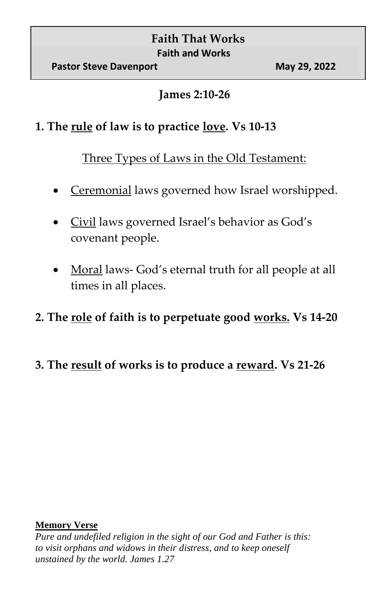# **Faith That Works Faith and Works**

#### **James 2:10-26**

## **1. The rule of law is to practice love. Vs 10-13**

Three Types of Laws in the Old Testament:

- Ceremonial laws governed how Israel worshipped.
- Civil laws governed Israel's behavior as God's covenant people.
- Moral laws- God's eternal truth for all people at all times in all places.

## **2. The role of faith is to perpetuate good works. Vs 14-20**

**3. The result of works is to produce a reward. Vs 21-26**

#### **Memory Verse**

*Pure and undefiled religion in the sight of our God and Father is this: to visit orphans and widows in their distress, and to keep oneself unstained by the world. James 1.27*